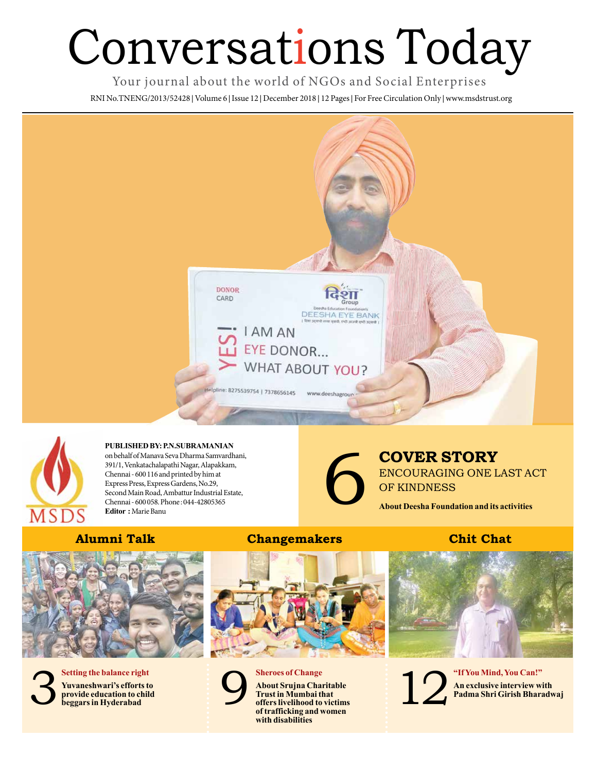## Conversations Today

Your journal about the world of NGOs and Social Enterprises

RNI No.TNENG/2013/52428 **|** Volume 6 **|** Issue 12 **|** December 2018 **|** 12 Pages **|** For Free Circulation Only **|** www.msdstrust.org





**PUBLISHED BY: P.N.SUBRAMANIAN**  on behalf of Manava Seva Dharma Samvardhani, 391/1, Venkatachalapathi Nagar, Alapakkam, Chennai - 600 116 and printed by him at Express Press, Express Gardens, No.29, Second Main Road, Ambattur Industrial Estate, Chennai - 600 058. Phone : 044-42805365

## 6 **COVER STORY** ENCOURAGING ONE LAST ACT OF KINDNESS

**About Deesha Foundation and its activities**

**Editor :** Marie Banu





**Yuvaneshwari's efforts to provide education to child** 3**beggars in Hyderabad**

## **Alumni Talk Changemakers Chit Chat**



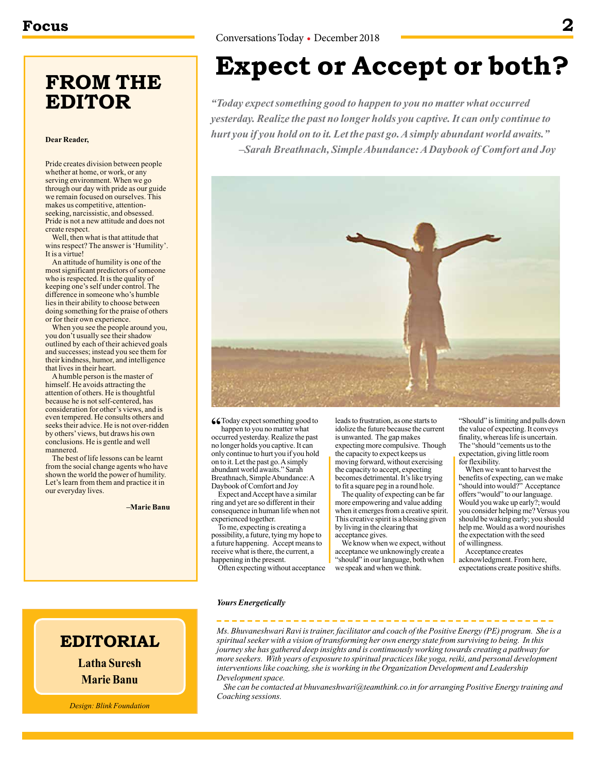## **FROM THE EDITOR**

## **Dear Reader,**

Pride creates division between people whether at home, or work, or any serving environment. When we go through our day with pride as our guide we remain focused on ourselves. This makes us competitive, attentionseeking, narcissistic, and obsessed. Pride is not a new attitude and does not create respect.

Well, then what is that attitude that wins respect? The answer is 'Humility'. It is a virtue!

An attitude of humility is one of the most significant predictors of someone who is respected. It is the quality of keeping one's self under control. The difference in someone who's humble lies in their ability to choose between doing something for the praise of others or for their own experience.

When you see the people around you, you don't usually see their shadow outlined by each of their achieved goals and successes; instead you see them for their kindness, humor, and intelligence that lives in their heart.

A humble person is the master of himself. He avoids attracting the attention of others. He is thoughtful because he is not self-centered, has consideration for other's views, and is even tempered. He consults others and seeks their advice. He is not over-ridden by others' views, but draws his own conclusions. He is gentle and well mannered.

The best of life lessons can be learnt from the social change agents who have shown the world the power of humility. Let's learn from them and practice it in our everyday lives.

**–Marie Banu**

## **Expect or Accept or both?**

*"Today expect something good to happen to you no matter what occurred yesterday. Realize the past no longer holds you captive. It can only continue to hurt you if you hold on to it. Let the past go. A simply abundant world awaits." –Sarah Breathnach, Simple Abundance: A Daybook of Comfort and Joy*



**"Coday** expect something good to

happen to you no matter what occurred yesterday. Realize the past no longer holds you captive. It can only continue to hurt you if you hold on to it. Let the past go. A simply abundant world awaits." Sarah Breathnach, Simple Abundance: A Daybook of Comfort and Joy

Expect and Accept have a similar ring and yet are so different in their consequence in human life when not experienced together.

To me, expecting is creating a possibility, a future, tying my hope to a future happening. Accept means to receive what is there, the current, a happening in the present.

Often expecting without acceptance

leads to frustration, as one starts to idolize the future because the current is unwanted. The gap makes expecting more compulsive. Though the capacity to expect keeps us moving forward, without exercising the capacity to accept, expecting becomes detrimental. It's like trying to fit a square peg in a round hole.

The quality of expecting can be far more empowering and value adding when it emerges from a creative spirit. This creative spirit is a blessing given by living in the clearing that acceptance gives.

We know when we expect, without acceptance we unknowingly create a "should" in our language, both when we speak and when we think.

"Should" is limiting and pulls down the value of expecting. It conveys finality, whereas life is uncertain. The "should "cements us to the expectation, giving little room for flexibility.

When we want to harvest the benefits of expecting, can we make "should into would?" Acceptance offers "would" to our language. Would you wake up early?; would you consider helping me? Versus you should be waking early; you should help me. Would as a word nourishes the expectation with the seed of willingness.

Acceptance creates acknowledgment. From here, expectations create positive shifts.

### *Yours Energetically*

*Ms. Bhuvaneshwari Ravi is trainer, facilitator and coach of the Positive Energy (PE) program. She is a spiritual seeker with a vision of transforming her own energy state from surviving to being. In this journey she has gathered deep insights and is continuously working towards creating a pathway for more seekers. With years of exposure to spiritual practices like yoga, reiki, and personal development interventions like coaching, she is working in the Organization Development and Leadership Development space.* 

*She can be contacted at bhuvaneshwari@teamthink.co.in for arranging Positive Energy training and Coaching sessions.*

**EDITORIAL Latha Suresh**

**Marie Banu**

*Design: Blink Foundation*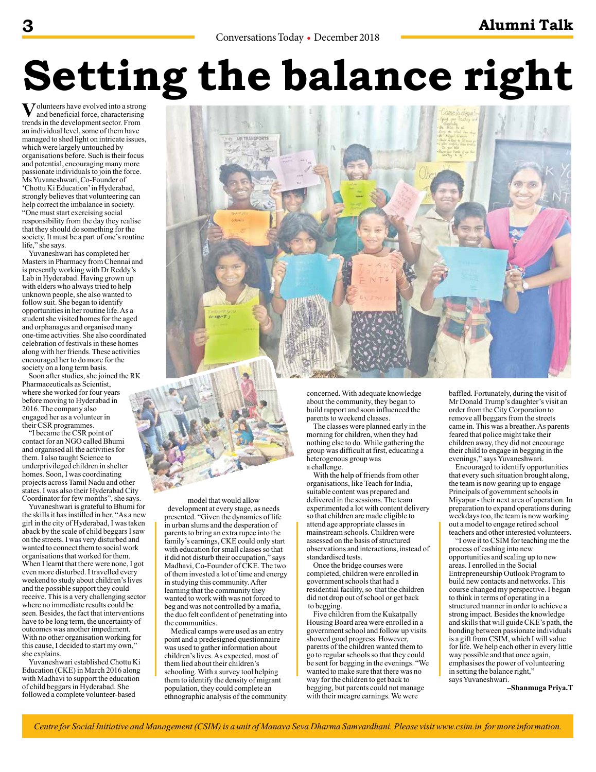# **Setting the balance right**

**V**olunteers have evolved into a strong<br>and beneficial force, characterising trends in the development sector. From an individual level, some of them have managed to shed light on intricate issues, which were largely untouched by organisations before. Such is their focus and potential, encouraging many more passionate individuals to join the force. Ms Yuvaneshwari, Co-Founder of 'Chottu Ki Education' in Hyderabad, strongly believes that volunteering can help correct the imbalance in society. "One must start exercising social responsibility from the day they realise that they should do something for the society. It must be a part of one's routine life," she says.

Yuvaneshwari has completed her Masters in Pharmacy from Chennai and is presently working with Dr Reddy's Lab in Hyderabad. Having grown up with elders who always tried to help unknown people, she also wanted to follow suit. She began to identify opportunities in her routine life. As a student she visited homes for the aged and orphanages and organised many one-time activities. She also coordinated celebration of festivals in these homes along with her friends. These activities encouraged her to do more for the society on a long term basis.

Soon after studies, she joined the RK Pharmaceuticals as Scientist, where she worked for four years before moving to Hyderabad in 2016. The company also engaged her as a volunteer in their CSR programmes.

"I became the CSR point of contact for an NGO called Bhumi and organised all the activities for them. I also taught Science to underprivileged children in shelter homes. Soon, I was coordinating projects across Tamil Nadu and other states. I was also their Hyderabad City Coordinator for few months", she says.

Yuvaneshwari is grateful to Bhumi for the skills it has instilled in her. "As a new girl in the city of Hyderabad, I was taken aback by the scale of child beggars I saw on the streets. I was very disturbed and wanted to connect them to social work organisations that worked for them. When I learnt that there were none, I got even more disturbed. I travelled every weekend to study about children's lives and the possible support they could receive. This is a very challenging sector where no immediate results could be seen. Besides, the fact that interventions have to be long term, the uncertainty of outcomes was another impediment. With no other organisation working for this cause, I decided to start my own," she explains.

Yuvaneshwari established Chottu Ki Education (CKE) in March 2016 along with Madhavi to support the education of child beggars in Hyderabad. She followed a complete volunteer-based



concerned. With adequate knowledge about the community, they began to build rapport and soon influenced the parents to weekend classes.

The classes were planned early in the morning for children, when they had nothing else to do. While gathering the group was difficult at first, educating a heterogenous group was a challenge.

With the help of friends from other organisations, like Teach for India, suitable content was prepared and delivered in the sessions. The team experimented a lot with content delivery so that children are made eligible to attend age appropriate classes in mainstream schools. Children were assessed on the basis of structured observations and interactions, instead of standardised tests.

Once the bridge courses were completed, children were enrolled in government schools that had a residential facility, so that the children did not drop out of school or get back to begging.

Five children from the Kukatpally Housing Board area were enrolled in a government school and follow up visits showed good progress. However, parents of the children wanted them to go to regular schools so that they could be sent for begging in the evenings. "We wanted to make sure that there was no way for the children to get back to begging, but parents could not manage with their meagre earnings. We were

baffled. Fortunately, during the visit of Mr Donald Trump's daughter's visit an order from the City Corporation to remove all beggars from the streets came in. This was a breather. As parents feared that police might take their children away, they did not encourage their child to engage in begging in the evenings," says Yuvaneshwari.

Encouraged to identify opportunities that every such situation brought along, the team is now gearing up to engage Principals of government schools in Miyapur - their next area of operation. In preparation to expand operations during weekdays too, the team is now working out a model to engage retired school teachers and other interested volunteers.

"I owe it to CSIM for teaching me the process of cashing into new opportunities and scaling up to new areas. I enrolled in the Social Entrepreneurship Outlook Program to build new contacts and networks. This course changed my perspective. I began to think in terms of operating in a structured manner in order to achieve a strong impact. Besides the knowledge and skills that will guide CKE's path, the bonding between passionate individuals is a gift from CSIM, which I will value for life. We help each other in every little way possible and that once again, emphasises the power of volunteering in setting the balance right," says Yuvaneshwari.

**–Shanmuga Priya.T**

model that would allow development at every stage, as needs presented. "Given the dynamics of life in urban slums and the desperation of parents to bring an extra rupee into the family's earnings, CKE could only start with education for small classes so that it did not disturb their occupation," says Madhavi, Co-Founder of CKE. The two of them invested a lot of time and energy in studying this community. After learning that the community they wanted to work with was not forced to beg and was not controlled by a mafia, the duo felt confident of penetrating into

Medical camps were used as an entry point and a predesigned questionnaire was used to gather information about children's lives. As expected, most of them lied about their children's schooling. With a survey tool helping them to identify the density of migrant population, they could complete an ethnographic analysis of the community

the communities.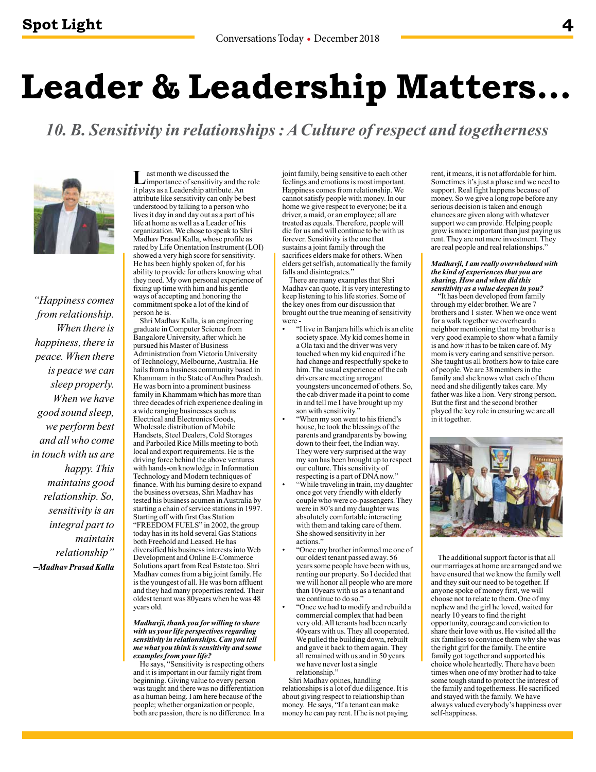## **Leader & Leadership Matters…**

*10. B. Sensitivity in relationships : A Culture of respect and togetherness* 



*"Happiness comes from relationship. When there is happiness, there is peace. When there is peace we can sleep properly. When we have good sound sleep, we perform best and all who come in touch with us are happy. This maintains good relationship. So, sensitivity is an integral part to maintain relationship" –Madhav Prasad Kalla*

ast month we discussed the importance of sensitivity and the role it plays as a Leadership attribute. An attribute like sensitivity can only be best understood by talking to a person who lives it day in and day out as a part of his life at home as well as a Leader of his organization. We chose to speak to Shri Madhav Prasad Kalla, whose profile as rated by Life Orientation Instrument (LOI) showed a very high score for sensitivity. He has been highly spoken of, for his ability to provide for others knowing what they need. My own personal experience of fixing up time with him and his gentle ways of accepting and honoring the commitment spoke a lot of the kind of

person he is. Shri Madhav Kalla, is an engineering graduate in Computer Science from Bangalore University, after which he pursued his Master of Business Administration from Victoria University of Technology, Melbourne, Australia. He hails from a business community based in Khammam in the State of Andhra Pradesh. He was born into a prominent business family in Khammam which has more than three decades of rich experience dealing in a wide ranging businesses such as Electrical and Electronics Goods, Wholesale distribution of Mobile Handsets, Steel Dealers, Cold Storages and Parboiled Rice Mills meeting to both local and export requirements. He is the driving force behind the above ventures with hands-on knowledge in Information Technology and Modern techniques of finance. With his burning desire to expand the business overseas, Shri Madhav has tested his business acumen in Australia by starting a chain of service stations in 1997. Starting off with first Gas Station "FREEDOM FUELS" in 2002, the group today has in its hold several Gas Stations

both Freehold and Leased. He has diversified his business interests into Web Development and Online E-Commerce Solutions apart from Real Estate too. Shri Madhav comes from a big joint family. He is the youngest of all. He was born affluent and they had many properties rented. Their oldest tenant was 80years when he was 48 years old.

### *Madhavji, thank you for willing to share with us your life perspectives regarding sensitivity in relationships. Can you tell me what you think is sensitivity and some examples from your life?*

He says, "Sensitivity is respecting others and it is important in our family right from beginning. Giving value to every person was taught and there was no differentiation as a human being. I am here because of the people; whether organization or people, both are passion, there is no difference. In a joint family, being sensitive to each other feelings and emotions is most important. Happiness comes from relationship. We cannot satisfy people with money. In our home we give respect to everyone; be it a driver, a maid, or an employee; all are treated as equals. Therefore, people will die for us and will continue to be with us forever. Sensitivity is the one that sustains a joint family through the sacrifices elders make for others. When elders get selfish, automatically the family falls and disintegrates."

There are many examples that Shri Madhav can quote. It is very interesting to keep listening to his life stories. Some of the key ones from our discussion that brought out the true meaning of sensitivity were -

- "I live in Banjara hills which is an elite society space. My kid comes home in a Ola taxi and the driver was very touched when my kid enquired if he had change and respectfully spoke to him. The usual experience of the cab drivers are meeting arrogant youngsters unconcerned of others. So, the cab driver made it a point to come in and tell me I have brought up my son with sensitivity."
	- "When my son went to his friend's house, he took the blessings of the parents and grandparents by bowing down to their feet, the Indian way. They were very surprised at the way my son has been brought up to respect our culture. This sensitivity of respecting is a part of DNA now."
	- "While traveling in train, my daughter once got very friendly with elderly couple who were co-passengers. They were in 80's and my daughter was absolutely comfortable interacting with them and taking care of them. She showed sensitivity in her actions.
- "Once my brother informed me one of our oldest tenant passed away. 56 years some people have been with us, renting our property. So I decided that we will honor all people who are more than 10years with us as a tenant and we continue to do so.
- "Once we had to modify and rebuild a commercial complex that had been very old. All tenants had been nearly 40years with us. They all cooperated. We pulled the building down, rebuilt and gave it back to them again. They all remained with us and in 50 years we have never lost a single relationship."

Shri Madhav opines, handling relationships is a lot of due diligence. It is about giving respect to relationship than money. He says, "If a tenant can make money he can pay rent. If he is not paying rent, it means, it is not affordable for him. Sometimes it's just a phase and we need to support. Real fight happens because of money. So we give a long rope before any serious decision is taken and enough chances are given along with whatever support we can provide. Helping people grow is more important than just paying us rent. They are not mere investment. They are real people and real relationships."

#### *Madhavji, I am really overwhelmed with the kind of experiences that you are sharing. How and when did this sensitivity as a value deepen in you?*

"It has been developed from family through my elder brother. We are 7 brothers and 1 sister. When we once went for a walk together we overheard a neighbor mentioning that my brother is a very good example to show what a family is and how it has to be taken care of. My mom is very caring and sensitive person. She taught us all brothers how to take care of people. We are 38 members in the family and she knows what each of them need and she diligently takes care. My father was like a lion. Very strong person. But the first and the second brother played the key role in ensuring we are all in it together.



The additional support factor is that all our marriages at home are arranged and we have ensured that we know the family well and they suit our need to be together. If anyone spoke of money first, we will choose not to relate to them. One of my nephew and the girl he loved, waited for nearly 10 years to find the right opportunity, courage and conviction to share their love with us. He visited all the six families to convince them why she was the right girl for the family. The entire family got together and supported his choice whole heartedly. There have been times when one of my brother had to take some tough stand to protect the interest of the family and togetherness. He sacrificed and stayed with the family. We have always valued everybody's happiness over self-happiness.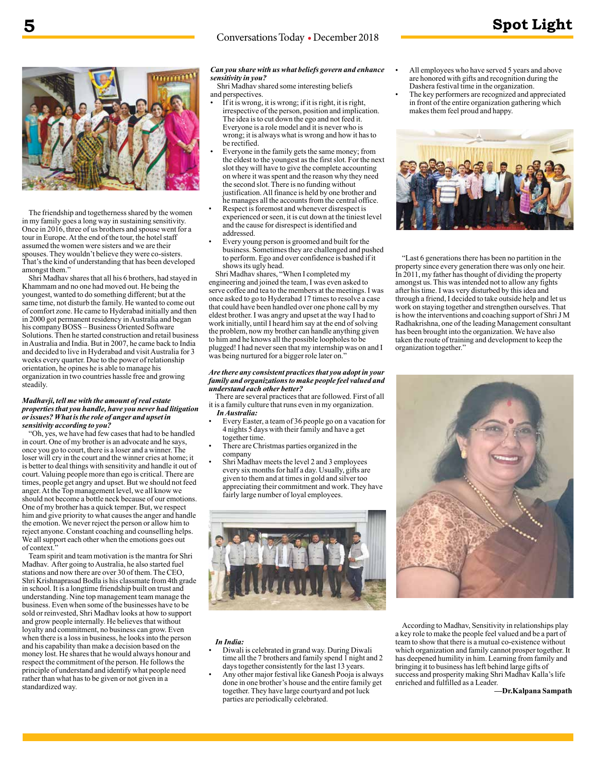## Conversations Today • December 2018



The friendship and togetherness shared by the women in my family goes a long way in sustaining sensitivity. Once in 2016, three of us brothers and spouse went for a tour in Europe. At the end of the tour, the hotel staff assumed the women were sisters and we are their spouses. They wouldn't believe they were co-sisters. That's the kind of understanding that has been developed amongst them.'

Shri Madhav shares that all his 6 brothers, had stayed in Khammam and no one had moved out. He being the youngest, wanted to do something different; but at the same time, not disturb the family. He wanted to come out of comfort zone. He came to Hyderabad initially and then in 2000 got permanent residency in Australia and began his company BOSS – Business Oriented Software Solutions. Then he started construction and retail business in Australia and India. But in 2007, he came back to India and decided to live in Hyderabad and visit Australia for 3 weeks every quarter. Due to the power of relationship orientation, he opines he is able to manage his organization in two countries hassle free and growing steadily.

### *Madhavji, tell me with the amount of real estate properties that you handle, have you never had litigation or issues? What is the role of anger and upset in sensitivity according to you?*

"Oh, yes, we have had few cases that had to be handled in court. One of my brother is an advocate and he says, once you go to court, there is a loser and a winner. The loser will cry in the court and the winner cries at home; it is better to deal things with sensitivity and handle it out of court. Valuing people more than ego is critical. There are times, people get angry and upset. But we should not feed anger. At the Top management level, we all know we should not become a bottle neck because of our emotions. One of my brother has a quick temper. But, we respect him and give priority to what causes the anger and handle the emotion. We never reject the person or allow him to reject anyone. Constant coaching and counselling helps. We all support each other when the emotions goes out of context.

Team spirit and team motivation is the mantra for Shri Madhav. After going to Australia, he also started fuel stations and now there are over 30 of them. The CEO, Shri Krishnaprasad Bodla is his classmate from 4th grade in school. It is a longtime friendship built on trust and understanding. Nine top management team manage the business. Even when some of the businesses have to be sold or reinvested, Shri Madhav looks at how to support and grow people internally. He believes that without loyalty and commitment, no business can grow. Even when there is a loss in business, he looks into the person and his capability than make a decision based on the money lost. He shares that he would always honour and respect the commitment of the person. He follows the principle of understand and identify what people need rather than what has to be given or not given in a standardized way.

## *Can you share with us what beliefs govern and enhance sensitivity in you?*

Shri Madhav shared some interesting beliefs and perspectives.

- If it is wrong, it is wrong; if it is right, it is right, irrespective of the person, position and implication. The idea is to cut down the ego and not feed it. Everyone is a role model and it is never who is wrong; it is always what is wrong and how it has to be rectified.
- Everyone in the family gets the same money; from the eldest to the youngest as the first slot. For the next slot they will have to give the complete accounting on where it was spent and the reason why they need the second slot. There is no funding without justification. All finance is held by one brother and he manages all the accounts from the central office.
- Respect is foremost and whenever disrespect is experienced or seen, it is cut down at the tiniest level and the cause for disrespect is identified and addressed.
- Every young person is groomed and built for the business. Sometimes they are challenged and pushed to perform. Ego and over confidence is bashed if it shows its ugly head.

Shri Madhav shares, "When I completed my engineering and joined the team, I was even asked to serve coffee and tea to the members at the meetings. I was once asked to go to Hyderabad 17 times to resolve a case that could have been handled over one phone call by my eldest brother. I was angry and upset at the way I had to work initially, until I heard him say at the end of solving the problem, now my brother can handle anything given to him and he knows all the possible loopholes to be plugged! I had never seen that my internship was on and I was being nurtured for a bigger role later on."

### *Are there any consistent practices that you adopt in your family and organizations to make people feel valued and understand each other better?*

There are several practices that are followed. First of all it is a family culture that runs even in my organization.

- *In Australia:*
- Every Easter, a team of 36 people go on a vacation for 4 nights 5 days with their family and have a get together time.
- There are Christmas parties organized in the company
- Shri Madhav meets the level 2 and 3 employees every six months for half a day. Usually, gifts are given to them and at times in gold and silver too appreciating their commitment and work. They have fairly large number of loyal employees.



## *In India:*

- Diwali is celebrated in grand way. During Diwali time all the 7 brothers and family spend 1 night and 2 days together consistently for the last 13 years.
- Any other major festival like Ganesh Pooja is always done in one brother's house and the entire family get together. They have large courtyard and pot luck parties are periodically celebrated.
- All employees who have served 5 years and above are honored with gifts and recognition during the Dashera festival time in the organization.
- The key performers are recognized and appreciated in front of the entire organization gathering which makes them feel proud and happy.



"Last 6 generations there has been no partition in the property since every generation there was only one heir. In 2011, my father has thought of dividing the property amongst us. This was intended not to allow any fights after his time. I was very disturbed by this idea and through a friend, I decided to take outside help and let us work on staying together and strengthen ourselves. That is how the interventions and coaching support of Shri J M Radhakrishna, one of the leading Management consultant has been brought into the organization. We have also taken the route of training and development to keep the organization together."



According to Madhav, Sensitivity in relationships play a key role to make the people feel valued and be a part of team to show that there is a mutual co-existence without which organization and family cannot prosper together. It has deepened humility in him. Learning from family and bringing it to business has left behind large gifts of success and prosperity making Shri Madhav Kalla's life enriched and fulfilled as a Leader.

**—Dr.Kalpana Sampath**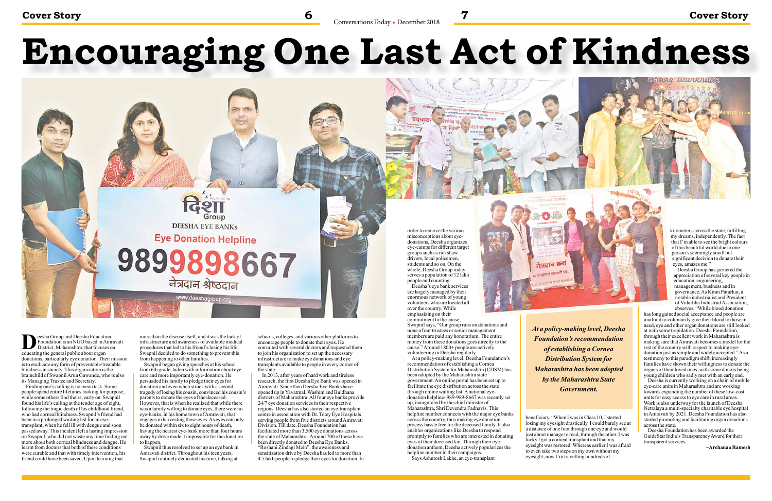# **Encouraging One Last Act of Kindness**



veleig, Wankharle

**D**eesha Group and Deesha Education Foundation is an NGO based in Amravati District, Maharashtra, that focuses on educating the general public about organ donations, particularly eye donation. Their mission is to eradicate any form of preventable/treatable blindness in society. This organization is the brainchild of Swapnil Arun Gawande, who is also its Managing Trustee and Secretary.

Finding one's calling is no mean task. Some people spend entire lifetimes looking for purpose, while some others find theirs, early on. Swapnil found his life's calling at the tender age of eight, following the tragic death of his childhood friend, who had corneal blindness. Swapnil's friend had been in a prolonged waiting list for an eyetransplant, when he fell ill with dengue and soon passed away. This incident left a lasting impression on Swapnil, who did not waste any time finding out more about both corneal blindness and dengue. He learnt from doctors that both of these conditions were curable and that with timely intervention, his friend could have been saved. Upon learning that

more than the disease itself, and it was the lack of infrastructure and awareness of available medical procedures that led to his friend's losing his life, Swapnil decided to do something to prevent this from happening to other families.

Swapnil began giving speeches at his school from 6th grade, laden with information about eye care and more importantly eye-donation. He persuaded his family to pledge their eyes for donation and even when struck with a second tragedy of losing his cousin, convinced his cousin's parents to donate the eyes of the deceased. However, that is when he realized that while there was a family willing to donate eyes, there were no eye-banks, in his home town of Amravati, that engages in harvesting these eyes. As eyes can only be donated within six to eight hours of death, having the nearest eye-bank more than four hours away by drive made it impossible for the donation to happen.

Swapnil thus resolved to set up an eye bank in Amravati district. Throughout his teen years, Swapnil routinely dedicated his time, talking at

schools, colleges, and various other platforms to encourage people to donate their eyes. He consulted with several doctors and requested them to join his organization to set up the necessary infrastructure to make eye donations and eye transplants available to people in every corner of the state.

In 2013, after years of hard work and tireless research, the first Deesha Eye Bank was opened in Amravati. Since then Deesha Eye Banks have opened up in Yavatmal, Washim and Buldhana districts of Maharashtra. All four eye banks provide 24/7 eye donation services in their respective regions. Deesha has also started an eye-transplant centre in association with Dr. Totey Eye Hospitals serving people from five districts around Amravati Division. Till date, Deesha Foundation has facilitated more than 3,500 eye donations across the state of Maharashtra. Around 700 of these have been directly donated to Deesha Eye Banks. "Roshani Zindagi Mein", the awareness and sensitization drive by Deesha has led to more than 4.5 lakh people to pledge their eyes for donation. In

Conversations Today • December 2018

order to remove the various misconceptions about eyedonations, Deesha organizes eye-camps for different target groups such as rickshaw drivers, local policemen, students and so on. On the whole, Deesha Group today serves a population of 12 lakh people and counting.

Deesha's eye bank services are largely managed by their enormous network of young volunteers who are located all over the country. While emphasizing on their commitment to the cause,

Swapnil says, "Our group runs on donations and none of our trustees or senior management members are paid any honorarium. The entire money from these donations goes directly to the cause." Around 1800+ people are actively volunteering in Deesha regularly. At a policy-making level, Deesha Foundation's recommendation of establishing a Cornea Distribution System for Maharashtra (CDSM) has been adopted by the Maharashtra state government. An online portal has been set up to facilitate the eye distribution across the state through online waiting list. A national eyedonation helpline- 989-989-8667 was recently set up, inaugurated by the chief minister of Maharashtra, Shri Devendra Fadnavis. This helpline number connects with the major eye banks across the country, thus making eye donation process hassle free for the deceased family. It also enables organizations like Deesha to respond promptly to families who are interested in donating eyes of their deceased kin. Through their eyedonation anthem, Deesha actively popularizes the helpline number in their campaigns. Says Ashutosh Lakhe, an eye-transplant

beneficiary, "When I was in Class 10, I started losing my eyesight drastically. I could barely see at a distance of one foot through one eye and would just about manage to read, through the other. I was lucky I got a corneal transplant and that my eyesight was restored. Whereas earlier I was afraid to even take two steps on my own without my eyesight, now I'm travelling hundreds of

kilometers across the state, fulfilling my dreams, independently. The fact that I'm able to see the bright colours of this beautiful world due to one person's seemingly small but significant decision to donate their eyes, amazes me."

Deesha Group has garnered the appreciation of several key people in education, engineering, management, business and in governance. As Kiran Paturkar, a notable industrialist and President of Vidarbha Industrial Association, observes, "While blood donation

has long gained social acceptance and people are unafraid to voluntarily give their blood to those in need, eye and other organ donations are still looked at with some trepidation. Deesha Foundation, through their excellent work in Maharashtra is making sure that Amravati becomes a model for the rest of the country with respect to making eyedonation just as simple and widely accepted." As a testimony to this paradigm shift, increasingly families have shown their willingness to donate the organs of their loved ones, with some donors being young children who sadly met with an early end.

Deesha is currently working on a chain of mobile eye-care units in Maharashtra and are working towards expanding the number of these low-cost units for easy access to eye care in rural areas. Work is also underway for the launch of Deesha Netralaya a multi-specialty charitable eye hospital in Amravati by 2021. Deesha Foundation has also started promoting and facilitating organ donations across the state.

Deesha Foundation has been awarded the GuideStar India's Transparency Award for their transparent services.

**–Archanaa Ramesh**



*At a policy-making level, Deesha Foundation's recommendation of establishing a Cornea Distribution System for Maharashtra has been adopted by the Maharashtra State Government.*

तेत्रदात करा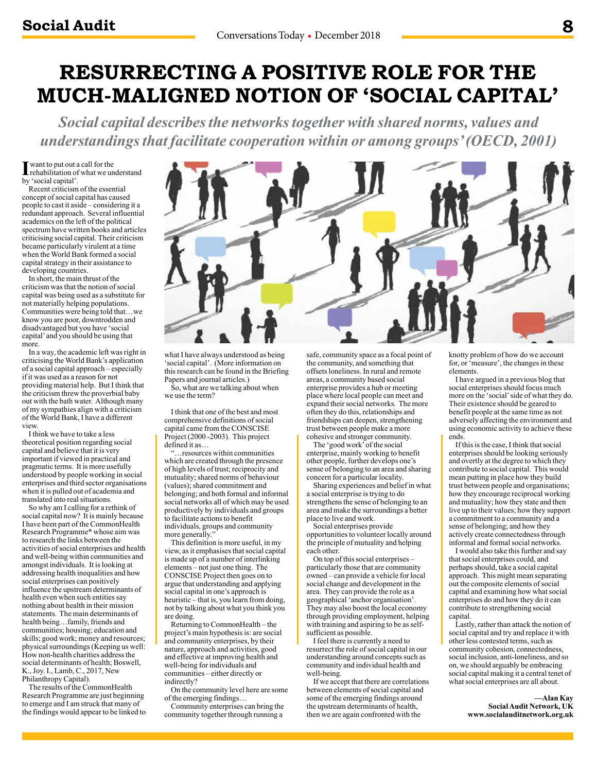## **RESURRECTING A POSITIVE ROLE FOR THE MUCH-MALIGNED NOTION OF 'SOCIAL CAPITAL'**

*Social capital describes the networks together with shared norms, values and understandings that facilitate cooperation within or among groups' (OECD, 2001)*

I want to put out a call for the<br>
rehabilitation of what we un rehabilitation of what we understand by 'social capital'.

Recent criticism of the essential concept of social capital has caused people to cast it aside – considering it a redundant approach. Several influential academics on the left of the political spectrum have written books and articles criticising social capital. Their criticism became particularly virulent at a time when the World Bank formed a social capital strategy in their assistance to developing countries.

In short, the main thrust of the criticism was that the notion of social capital was being used as a substitute for not materially helping populations. Communities were being told that…we know you are poor, downtrodden and disadvantaged but you have 'social capital' and you should be using that more.

In a way, the academic left was right in criticising the World Bank's application of a social capital approach – especially if it was used as a reason for not providing material help. But I think that the criticism threw the proverbial baby out with the bath water. Although many of my sympathies align with a criticism of the World Bank, I have a different view.

I think we have to take a less theoretical position regarding social capital and believe that it is very important if viewed in practical and pragmatic terms. It is more usefully understood by people working in social enterprises and third sector organisations when it is pulled out of academia and translated into real situations.

So why am I calling for a rethink of social capital now? It is mainly because I have been part of the CommonHealth Research Programme\* whose aim was to research the links between the activities of social enterprises and health and well-being within communities and amongst individuals. It is looking at addressing health inequalities and how social enterprises can positively influence the upstream determinants of health even when such entities say nothing about health in their mission statements. The main determinants of health being…family, friends and communities; housing; education and skills; good work; money and resources; physical surroundings (Keeping us well: How non-health charities address the social determinants of health; Boswell, K., Joy. I., Lamb, C., 2017, New Philanthropy Capital).

The results of the CommonHealth Research Programme are just beginning to emerge and I am struck that many of the findings would appear to be linked to



what I have always understood as being 'social capital'. (More information on this research can be found in the Briefing Papers and journal articles.)

So, what are we talking about when we use the term?

I think that one of the best and most comprehensive definitions of social capital came from the CONSCISE Project (2000 -2003). This project defined it as…

... resources within communities which are created through the presence of high levels of trust; reciprocity and mutuality; shared norms of behaviour (values); shared commitment and belonging; and both formal and informal social networks all of which may be used productively by individuals and groups to facilitate actions to benefit individuals, groups and community more generally."

This definition is more useful, in my view, as it emphasises that social capital is made up of a number of interlinking elements – not just one thing. The CONSCISE Project then goes on to argue that understanding and applying social capital in one's approach is heuristic – that is, you learn from doing, not by talking about what you think you are doing.

Returning to CommonHealth – the project's main hypothesis is: are social and community enterprises, by their nature, approach and activities, good and effective at improving health and well-being for individuals and communities – either directly or indirectly?

On the community level here are some of the emerging findings…

Community enterprises can bring the community together through running a

safe, community space as a focal point of the community, and something that offsets loneliness. In rural and remote areas, a community based social enterprise provides a hub or meeting place where local people can meet and expand their social networks. The more often they do this, relationships and friendships can deepen, strengthening trust between people make a more cohesive and stronger community.

The 'good work' of the social enterprise, mainly working to benefit other people, further develops one's sense of belonging to an area and sharing concern for a particular locality.

Sharing experiences and belief in what a social enterprise is trying to do strengthens the sense of belonging to an area and make the surroundings a better place to live and work.

Social enterprises provide opportunities to volunteer locally around the principle of mutuality and helping each other.

On top of this social enterprises – particularly those that are community owned – can provide a vehicle for local social change and development in the area. They can provide the role as a geographical 'anchor organisation'. They may also boost the local economy through providing employment, helping with training and aspiring to be as selfsufficient as possible.

I feel there is currently a need to resurrect the role of social capital in our understanding around concepts such as community and individual health and well-being.

If we accept that there are correlations between elements of social capital and some of the emerging findings around the upstream determinants of health, then we are again confronted with the

knotty problem of how do we account for, or 'measure', the changes in these elements.

I have argued in a previous blog that social enterprises should focus much more on the 'social' side of what they do. Their existence should be geared to benefit people at the same time as not adversely affecting the environment and using economic activity to achieve these ends.

If this is the case, I think that social enterprises should be looking seriously and overtly at the degree to which they contribute to social capital. This would mean putting in place how they build trust between people and organisations; how they encourage reciprocal working and mutuality; how they state and then live up to their values; how they support a commitment to a community and a sense of belonging; and how they actively create connectedness through informal and formal social networks.

I would also take this further and say that social enterprises could, and perhaps should, take a social capital approach. This might mean separating out the composite elements of social capital and examining how what social enterprises do and how they do it can contribute to strengthening social capital.

Lastly, rather than attack the notion of social capital and try and replace it with other less contested terms, such as community cohesion, connectedness, social inclusion, anti-loneliness, and so on, we should arguably be embracing social capital making it a central tenet of what social enterprises are all about.

### **—Alan Kay Social Audit Network, UK www.socialauditnetwork.org.uk**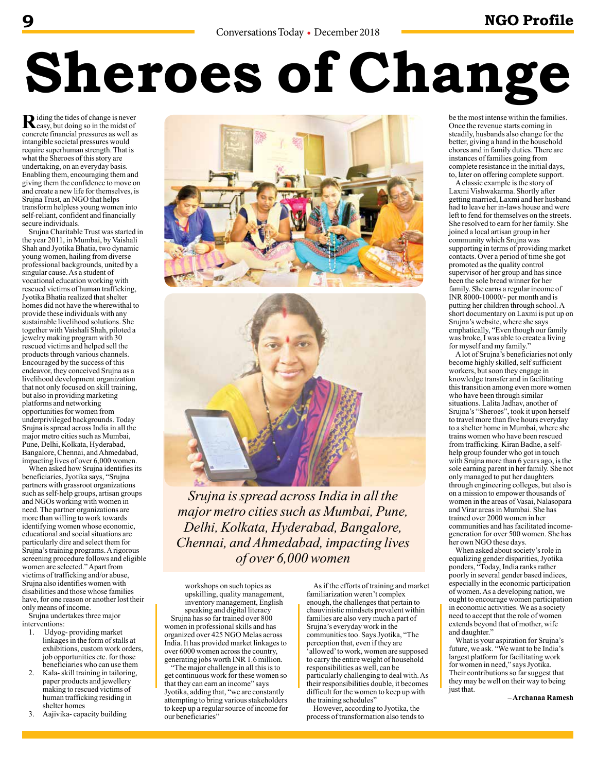## **9 NGO Profile**

# **Sheroes of Change**

Riding the tides of change is never concrete financial pressures as well as intangible societal pressures would require superhuman strength. That is what the Sheroes of this story are undertaking, on an everyday basis. Enabling them, encouraging them and giving them the confidence to move on and create a new life for themselves, is Srujna Trust, an NGO that helps transform helpless young women into self-reliant, confident and financially secure individuals.

Srujna Charitable Trust was started in the year 2011, in Mumbai, by Vaishali Shah and Jyotika Bhatia, two dynamic young women, hailing from diverse professional backgrounds, united by a singular cause. As a student of vocational education working with rescued victims of human trafficking, Jyotika Bhatia realized that shelter homes did not have the wherewithal to provide these individuals with any sustainable livelihood solutions. She together with Vaishali Shah, piloted a jewelry making program with 30 rescued victims and helped sell the products through various channels. Encouraged by the success of this endeavor, they conceived Srujna as a livelihood development organization that not only focused on skill training, but also in providing marketing platforms and networking opportunities for women from underprivileged backgrounds. Today Srujna is spread across India in all the major metro cities such as Mumbai, Pune, Delhi, Kolkata, Hyderabad, Bangalore, Chennai, and Ahmedabad, impacting lives of over 6,000 women.

When asked how Srujna identifies its beneficiaries, Jyotika says, "Srujna partners with grassroot organizations such as self-help groups, artisan groups and NGOs working with women in need. The partner organizations are more than willing to work towards identifying women whose economic, educational and social situations are particularly dire and select them for Srujna's training programs. A rigorous screening procedure follows and eligible women are selected." Apart from victims of trafficking and/or abuse, Srujna also identifies women with disabilities and those whose families have, for one reason or another lost their only means of income.

Srujna undertakes three major interventions:

- 1. Udyog- providing market linkages in the form of stalls at exhibitions, custom work orders, job opportunities etc. for those beneficiaries who can use them
- 2. Kala- skill training in tailoring, paper products and jewellery making to rescued victims of human trafficking residing in shelter homes
- 3. Aajivika- capacity building





*Srujna is spread across India in all the major metro cities such as Mumbai, Pune, Delhi, Kolkata, Hyderabad, Bangalore, Chennai, and Ahmedabad, impacting lives of over 6,000 women*

workshops on such topics as upskilling, quality management, inventory management, English speaking and digital literacy

Srujna has so far trained over 800 women in professional skills and has organized over 425 NGO Melas across India. It has provided market linkages to over 6000 women across the country, generating jobs worth INR 1.6 million.

"The major challenge in all this is to get continuous work for these women so that they can earn an income" says Jyotika, adding that, "we are constantly attempting to bring various stakeholders to keep up a regular source of income for our beneficiaries"

As if the efforts of training and market familiarization weren't complex enough, the challenges that pertain to chauvinistic mindsets prevalent within families are also very much a part of Srujna's everyday work in the communities too. Says Jyotika, "The perception that, even if they are 'allowed' to work, women are supposed to carry the entire weight of household responsibilities as well, can be particularly challenging to deal with. As their responsibilities double, it becomes difficult for the women to keep up with the training schedules"

However, according to Jyotika, the process of transformation also tends to be the most intense within the families. Once the revenue starts coming in steadily, husbands also change for the better, giving a hand in the household chores and in family duties. There are instances of families going from complete resistance in the initial days, to, later on offering complete support.

A classic example is the story of Laxmi Vishwakarma. Shortly after getting married, Laxmi and her husband had to leave her in-laws house and were left to fend for themselves on the streets. She resolved to earn for her family. She joined a local artisan group in her community which Srujna was supporting in terms of providing market contacts. Over a period of time she got promoted as the quality control supervisor of her group and has since been the sole bread winner for her family. She earns a regular income of INR 8000-10000/- per month and is putting her children through school. A short documentary on Laxmi is put up on Srujna's website, where she says emphatically, "Even though our family was broke, I was able to create a living for myself and my family.'

A lot of Srujna's beneficiaries not only become highly skilled, self sufficient workers, but soon they engage in knowledge transfer and in facilitating this transition among even more women who have been through similar situations. Lalita Jadhav, another of Srujna's "Sheroes", took it upon herself to travel more than five hours everyday to a shelter home in Mumbai, where she trains women who have been rescued from trafficking. Kiran Badhe, a selfhelp group founder who got in touch with Srujna more than 6 years ago, is the sole earning parent in her family. She not only managed to put her daughters through engineering colleges, but also is on a mission to empower thousands of women in the areas of Vasai, Nalasopara and Virar areas in Mumbai. She has trained over 2000 women in her communities and has facilitated incomegeneration for over 500 women. She has her own NGO these days.

When asked about society's role in equalizing gender disparities, Jyotika ponders, "Today, India ranks rather poorly in several gender based indices, especially in the economic participation of women. As a developing nation, we ought to encourage women participation in economic activities. We as a society need to accept that the role of women extends beyond that of mother, wife and daughter."

What is your aspiration for Srujna's future, we ask. "We want to be India's largest platform for facilitating work for women in need," says Jyotika. Their contributions so far suggest that they may be well on their way to being just that.

**– Archanaa Ramesh**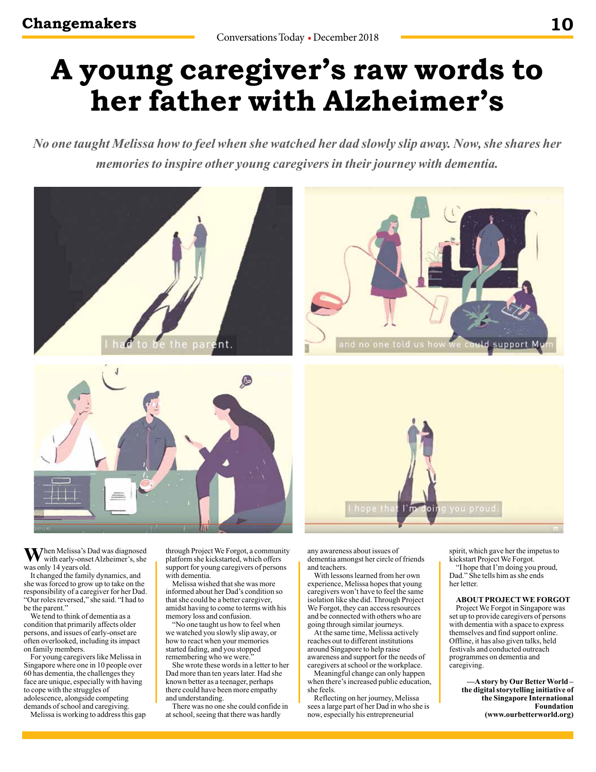## **A young caregiver's raw words to her father with Alzheimer's**

*No one taught Melissa how to feel when she watched her dad slowly slip away. Now, she shares her memories to inspire other young caregivers in their journey with dementia.*



When Melissa's Dad was diagnosed with early-onset Alzheimer's, she was only 14 years old.

It changed the family dynamics, and she was forced to grow up to take on the responsibility of a caregiver for her Dad. "Our roles reversed," she said. "I had to be the parent."

We tend to think of dementia as a condition that primarily affects older persons, and issues of early-onset are often overlooked, including its impact on family members.

For young caregivers like Melissa in Singapore where one in 10 people over 60 has dementia, the challenges they face are unique, especially with having to cope with the struggles of adolescence, alongside competing demands of school and caregiving.

Melissa is working to address this gap

through Project We Forgot, a community platform she kickstarted, which offers support for young caregivers of persons with dementia.

Melissa wished that she was more informed about her Dad's condition so that she could be a better caregiver, amidst having to come to terms with his memory loss and confusion.

"No one taught us how to feel when we watched you slowly slip away, or how to react when your memories started fading, and you stopped remembering who we were."

She wrote these words in a letter to her Dad more than ten years later. Had she known better as a teenager, perhaps there could have been more empathy and understanding.

There was no one she could confide in at school, seeing that there was hardly

any awareness about issues of dementia amongst her circle of friends and teachers.

With lessons learned from her own experience, Melissa hopes that young caregivers won't have to feel the same isolation like she did. Through Project We Forgot, they can access resources and be connected with others who are going through similar journeys.

At the same time, Melissa actively reaches out to different institutions around Singapore to help raise awareness and support for the needs of caregivers at school or the workplace.

Meaningful change can only happen when there's increased public education, she feels.

Reflecting on her journey, Melissa sees a large part of her Dad in who she is now, especially his entrepreneurial

spirit, which gave her the impetus to kickstart Project We Forgot.

"I hope that I'm doing you proud, Dad." She tells him as she ends her letter.

## **ABOUT PROJECT WE FORGOT**

Project We Forgot in Singapore was set up to provide caregivers of persons with dementia with a space to express themselves and find support online. Offline, it has also given talks, held festivals and conducted outreach programmes on dementia and caregiving.

> **—A story by Our Better World – the digital storytelling initiative of the Singapore International Foundation (www.ourbetterworld.org)**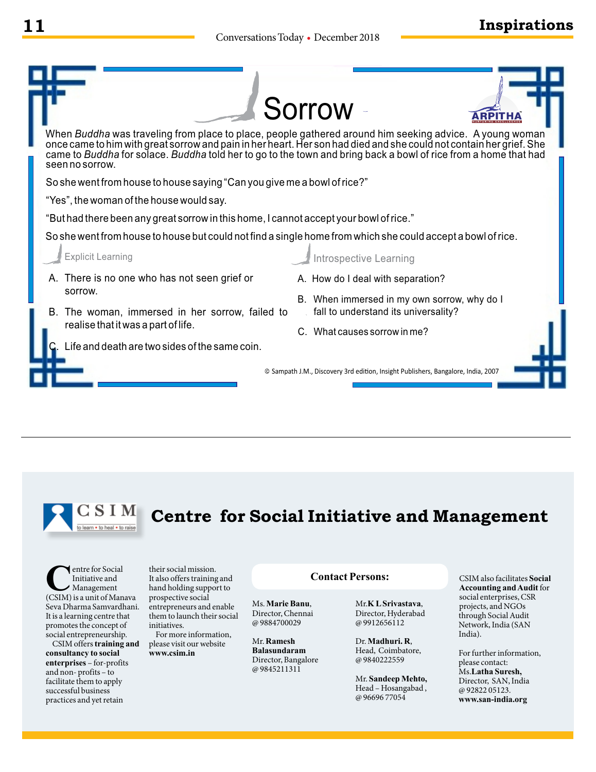



## **Centre for Social Initiative and Management**

**C**entre for Social<br>
Initiative and<br>
(CSIM) is a unit of Manava Initiative and Management Seva Dharma Samvardhani. It is a learning centre that promotes the concept of social entrepreneurship.

CSIM offers **training and consultancy to social enterprises** – for-profits and non- profits – to facilitate them to apply successful business practices and yet retain

their social mission. It also offers training and hand holding support to prospective social entrepreneurs and enable them to launch their social initiatives.

For more information, please visit our website **www.csim.in**

## **Contact Persons:**

Ms. **Marie Banu**, Director, Chennai @ 9884700029

Mr. **Ramesh Balasundaram**  Director, Bangalore @ 9845211311

Mr.**K L Srivastava**, Director, Hyderabad @ 9912656112

Dr. **Madhuri. R**, Head, Coimbatore, @ 9840222559

Mr. **Sandeep Mehto,** Head – Hosangabad , @ 96696 77054

CSIM also facilitates **Social Accounting and Audit** for social enterprises, CSR projects, and NGOs through Social Audit Network, India (SAN India).

For further information, please contact: Ms.**Latha Suresh,**  Director, SAN, India @ 92822 05123. **www.san-india.org**